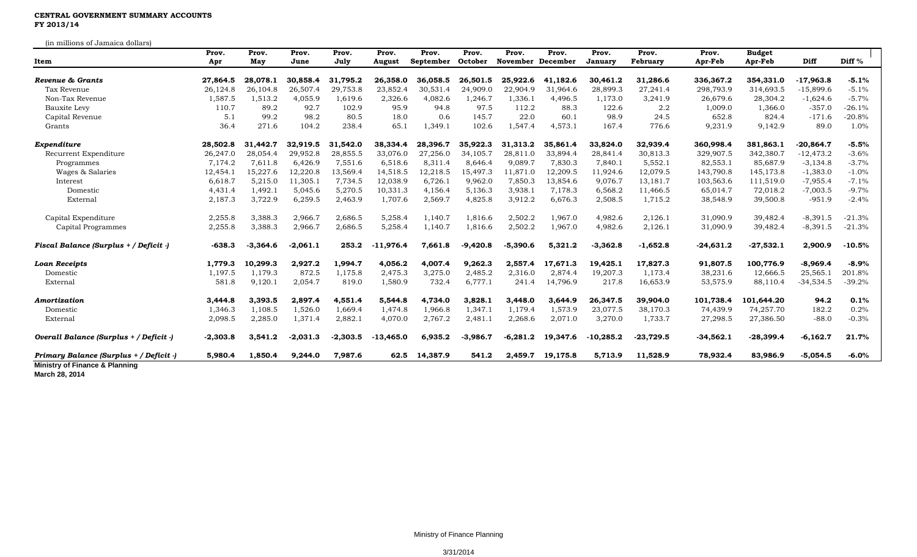## **CENTRAL GOVERNMENT SUMMARY ACCOUNTS FY 2013/14**

(in millions of Jamaica dollars)

| Item                                    | Prov.<br>Apr | Prov.<br>May | Prov.<br>June | Prov.<br>July | Prov.<br>August | Prov.<br>September | Prov.<br>October | Prov.<br>November December | Prov.    | Prov.<br>Januarv | Prov.<br>February | Prov.<br>Apr-Feb | <b>Budget</b><br>Apr-Feb | Diff        | Diff %   |
|-----------------------------------------|--------------|--------------|---------------|---------------|-----------------|--------------------|------------------|----------------------------|----------|------------------|-------------------|------------------|--------------------------|-------------|----------|
|                                         |              |              |               |               |                 |                    |                  |                            |          |                  |                   |                  |                          |             |          |
| Tax Revenue                             | 26,124.8     | 26,104.8     | 26,507.4      | 29,753.8      | 23,852.4        | 30,531.4           | 24,909.0         | 22,904.9                   | 31,964.6 | 28,899.3         | 27,241.4          | 298,793.9        | 314,693.5                | $-15,899.6$ | $-5.1%$  |
| Non-Tax Revenue                         | 1,587.5      | 1,513.2      | 4,055.9       | 1,619.6       | 2,326.6         | 4,082.6            | 1,246.7          | 1,336.1                    | 4,496.5  | 1,173.0          | 3,241.9           | 26,679.6         | 28,304.2                 | $-1,624.6$  | $-5.7%$  |
| Bauxite Levy                            | 110.7        | 89.2         | 92.7          | 102.9         | 95.9            | 94.8               | 97.5             | 112.2                      | 88.3     | 122.6            | 2.2               | 1,009.0          | 1,366.0                  | $-357.0$    | $-26.1%$ |
| Capital Revenue                         | 5.1          | 99.2         | 98.2          | 80.5          | 18.0            | 0.6                | 145.7            | 22.0                       | 60.1     | 98.9             | 24.5              | 652.8            | 824.4                    | $-171.6$    | $-20.8%$ |
| Grants                                  | 36.4         | 271.6        | 104.2         | 238.4         | 65.1            | 1,349.1            | 102.6            | 1,547.4                    | 4,573.1  | 167.4            | 776.6             | 9,231.9          | 9,142.9                  | 89.0        | 1.0%     |
| Expenditure                             | 28,502.8     | 31,442.7     | 32,919.5      | 31,542.0      | 38,334.4        | 28,396.7           | 35,922.3         | 31,313.2                   | 35,861.4 | 33,824.0         | 32,939.4          | 360,998.4        | 381,863.1                | $-20,864.7$ | $-5.5%$  |
| Recurrent Expenditure                   | 26,247.0     | 28,054.4     | 29,952.8      | 28,855.5      | 33,076.0        | 27,256.0           | 34,105.7         | 28,811.0                   | 33,894.4 | 28,841.4         | 30,813.3          | 329,907.5        | 342,380.7                | $-12,473.2$ | $-3.6%$  |
| Programmes                              | 7,174.2      | 7,611.8      | 6,426.9       | 7,551.6       | 6,518.6         | 8,311.4            | 8,646.4          | 9,089.7                    | 7,830.3  | 7,840.1          | 5,552.1           | 82,553.1         | 85,687.9                 | $-3,134.8$  | $-3.7%$  |
| Wages & Salaries                        | 12,454.1     | 15,227.6     | 12,220.8      | 13,569.4      | 14,518.5        | 12,218.5           | 15,497.3         | 11,871.0                   | 12,209.5 | 11,924.6         | 12,079.5          | 143,790.8        | 145,173.8                | $-1,383.0$  | $-1.0%$  |
| Interest                                | 6,618.7      | 5,215.0      | 11,305.1      | 7,734.5       | 12,038.9        | 6,726.1            | 9,962.0          | 7,850.3                    | 13,854.6 | 9,076.7          | 13,181.7          | 103,563.6        | 111,519.0                | $-7,955.4$  | $-7.1%$  |
| Domestic                                | 4,431.4      | 1,492.1      | 5,045.6       | 5,270.5       | 10,331.3        | 4,156.4            | 5,136.3          | 3,938.1                    | 7,178.3  | 6,568.2          | 11,466.5          | 65,014.7         | 72,018.2                 | $-7,003.5$  | $-9.7%$  |
| External                                | 2,187.3      | 3,722.9      | 6,259.5       | 2,463.9       | 1,707.6         | 2,569.7            | 4,825.8          | 3,912.2                    | 6,676.3  | 2,508.5          | 1,715.2           | 38,548.9         | 39,500.8                 | $-951.9$    | $-2.4%$  |
| Capital Expenditure                     | 2,255.8      | 3,388.3      | 2,966.7       | 2,686.5       | 5,258.4         | 1,140.7            | 1,816.6          | 2,502.2                    | 1,967.0  | 4,982.6          | 2,126.1           | 31,090.9         | 39,482.4                 | $-8,391.5$  | $-21.3%$ |
| Capital Programmes                      | 2,255.8      | 3,388.3      | 2,966.7       | 2,686.5       | 5,258.4         | 1,140.7            | 1,816.6          | 2,502.2                    | 1,967.0  | 4,982.6          | 2,126.1           | 31,090.9         | 39,482.4                 | $-8,391.5$  | $-21.3%$ |
| Fiscal Balance (Surplus + / Deficit -)  | $-638.3$     | -3.364.6     | $-2,061.1$    | 253.2         | $-11,976.4$     | 7,661.8            | $-9.420.8$       | $-5,390.6$                 | 5,321.2  | $-3,362.8$       | $-1,652.8$        | $-24,631.2$      | $-27,532.1$              | 2,900.9     | $-10.5%$ |
| <b>Loan Receipts</b>                    | 1,779.3      | 10.299.3     | 2,927.2       | 1,994.7       | 4,056.2         | 4,007.4            | 9,262.3          | 2,557.4                    | 17,671.3 | 19,425.1         | 17,827.3          | 91,807.5         | 100,776.9                | $-8,969.4$  | $-8.9%$  |
| Domestic                                | 1,197.5      | 1,179.3      | 872.5         | 1,175.8       | 2,475.3         | 3,275.0            | 2,485.2          | 2,316.0                    | 2,874.4  | 19,207.3         | 1,173.4           | 38,231.6         | 12,666.5                 | 25,565.1    | 201.8%   |
| External                                | 581.8        | 9,120.1      | 2,054.7       | 819.0         | 1,580.9         | 732.4              | 6,777.1          | 241.4                      | 14,796.9 | 217.8            | 16,653.9          | 53,575.9         | 88,110.4                 | $-34,534.5$ | $-39.2%$ |
| Amortization                            | 3,444.8      | 3,393.5      | 2,897.4       | 4,551.4       | 5,544.8         | 4,734.0            | 3,828.1          | 3,448.0                    | 3,644.9  | 26,347.5         | 39,904.0          | 101,738.4        | 101,644.20               | 94.2        | 0.1%     |
| Domestic                                | 1,346.3      | 1,108.5      | 1,526.0       | 1,669.4       | 1,474.8         | 1,966.8            | 1,347.1          | 1,179.4                    | 1,573.9  | 23,077.5         | 38,170.3          | 74,439.9         | 74,257.70                | 182.2       | 0.2%     |
| External                                | 2,098.5      | 2,285.0      | 1,371.4       | 2,882.1       | 4,070.0         | 2,767.2            | 2,481.1          | 2,268.6                    | 2,071.0  | 3,270.0          | 1,733.7           | 27,298.5         | 27,386.50                | $-88.0$     | $-0.3%$  |
| Overall Balance (Surplus + / Deficit -) | $-2,303.8$   | 3,541.2      | $-2,031.3$    | $-2,303.5$    | $-13,465.0$     | 6,935.2            | $-3,986.7$       | $-6,281.2$                 | 19,347.6 | $-10,285.2$      | $-23,729.5$       | $-34,562.1$      | $-28,399.4$              | $-6,162.7$  | 21.7%    |
| Primary Balance (Surplus + / Deficit -) | 5,980.4      | 1,850.4      | 9,244.0       | 7,987.6       | 62.5            | 14,387.9           | 541.2            | 2,459.7                    | 19,175.8 | 5,713.9          | 11,528.9          | 78,932.4         | 83,986.9                 | $-5,054.5$  | $-6.0\%$ |

**March 28, 2014**